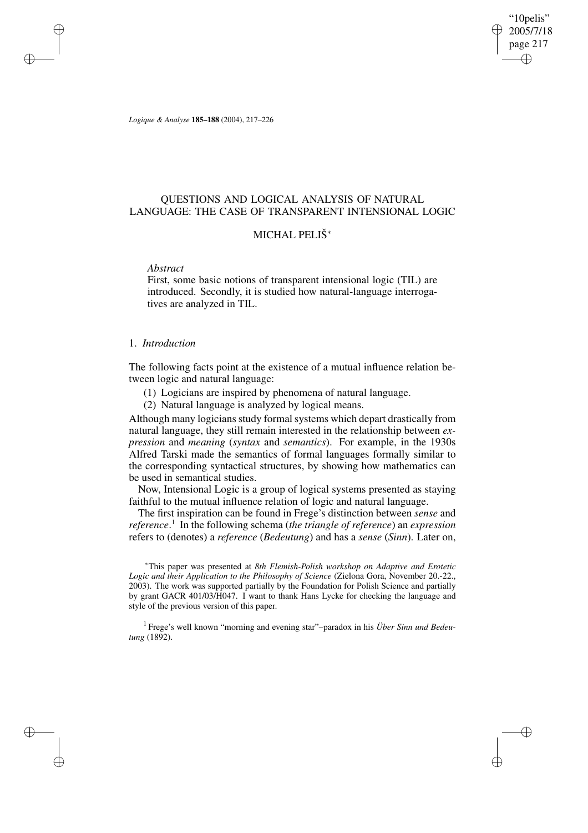"10pelis" 2005/7/18 page 217 ✐ ✐

✐

✐

*Logique & Analyse* **185–188** (2004), 217–226

# QUESTIONS AND LOGICAL ANALYSIS OF NATURAL LANGUAGE: THE CASE OF TRANSPARENT INTENSIONAL LOGIC

# MICHAL PELIŠ<sup>∗</sup>

*Abstract*

✐

✐

✐

✐

First, some basic notions of transparent intensional logic (TIL) are introduced. Secondly, it is studied how natural-language interrogatives are analyzed in TIL.

## 1. *Introduction*

The following facts point at the existence of a mutual influence relation between logic and natural language:

(1) Logicians are inspired by phenomena of natural language.

(2) Natural language is analyzed by logical means.

Although many logicians study formal systems which depart drastically from natural language, they still remain interested in the relationship between *expression* and *meaning* (*syntax* and *semantics*). For example, in the 1930s Alfred Tarski made the semantics of formal languages formally similar to the corresponding syntactical structures, by showing how mathematics can be used in semantical studies.

Now, Intensional Logic is a group of logical systems presented as staying faithful to the mutual influence relation of logic and natural language.

The first inspiration can be found in Frege's distinction between *sense* and *reference*. 1 In the following schema (*the triangle of reference*) an *expression* refers to (denotes) a *reference* (*Bedeutung*) and has a *sense* (*Sinn*). Later on,

<sup>∗</sup>This paper was presented at *8th Flemish-Polish workshop on Adaptive and Erotetic Logic and their Application to the Philosophy of Science* (Zielona Gora, November 20.-22., 2003). The work was supported partially by the Foundation for Polish Science and partially by grant GACR 401/03/H047. I want to thank Hans Lycke for checking the language and style of the previous version of this paper.

1 Frege's well known "morning and evening star"–paradox in his *Über Sinn und Bedeutung* (1892).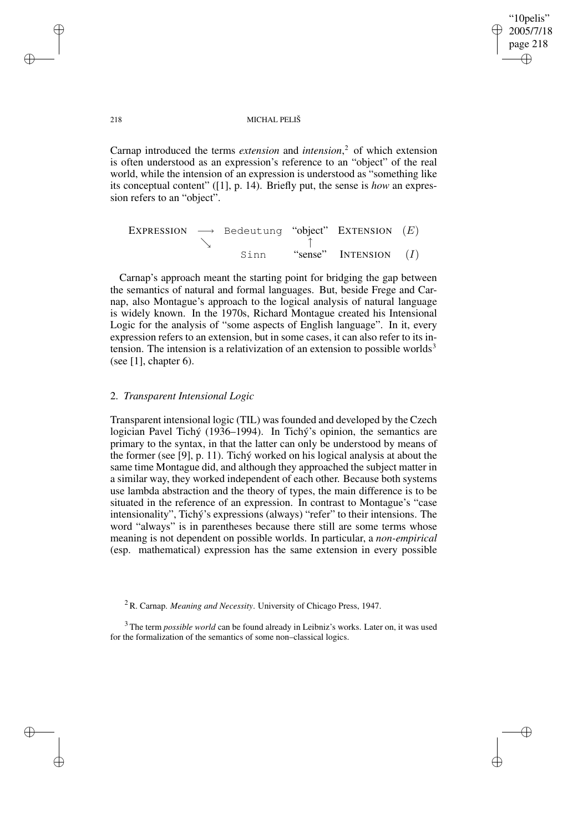✐

#### 218 MICHAL PELIŠ

Carnap introduced the terms *extension* and *intension*, <sup>2</sup> of which extension is often understood as an expression's reference to an "object" of the real world, while the intension of an expression is understood as "something like its conceptual content" ([1], p. 14). Briefly put, the sense is *how* an expression refers to an "object".

|  | EXPRESSION $\longrightarrow$ Bedeutung "object" EXTENSION $(E)$ |                         |  |
|--|-----------------------------------------------------------------|-------------------------|--|
|  |                                                                 |                         |  |
|  | Sinn                                                            | "sense" INTENSION $(I)$ |  |

Carnap's approach meant the starting point for bridging the gap between the semantics of natural and formal languages. But, beside Frege and Carnap, also Montague's approach to the logical analysis of natural language is widely known. In the 1970s, Richard Montague created his Intensional Logic for the analysis of "some aspects of English language". In it, every expression refers to an extension, but in some cases, it can also refer to its intension. The intension is a relativization of an extension to possible worlds<sup>3</sup> (see [1], chapter 6).

# 2. *Transparent Intensional Logic*

Transparent intensional logic (TIL) was founded and developed by the Czech logician Pavel Tichý (1936–1994). In Tichý's opinion, the semantics are primary to the syntax, in that the latter can only be understood by means of the former (see [9], p. 11). Tichý worked on his logical analysis at about the same time Montague did, and although they approached the subject matter in a similar way, they worked independent of each other. Because both systems use lambda abstraction and the theory of types, the main difference is to be situated in the reference of an expression. In contrast to Montague's "case intensionality", Tichý's expressions (always) "refer" to their intensions. The word "always" is in parentheses because there still are some terms whose meaning is not dependent on possible worlds. In particular, a *non-empirical* (esp. mathematical) expression has the same extension in every possible

✐

✐

✐

<sup>2</sup> R. Carnap. *Meaning and Necessity*. University of Chicago Press, 1947.

<sup>&</sup>lt;sup>3</sup> The term *possible world* can be found already in Leibniz's works. Later on, it was used for the formalization of the semantics of some non–classical logics.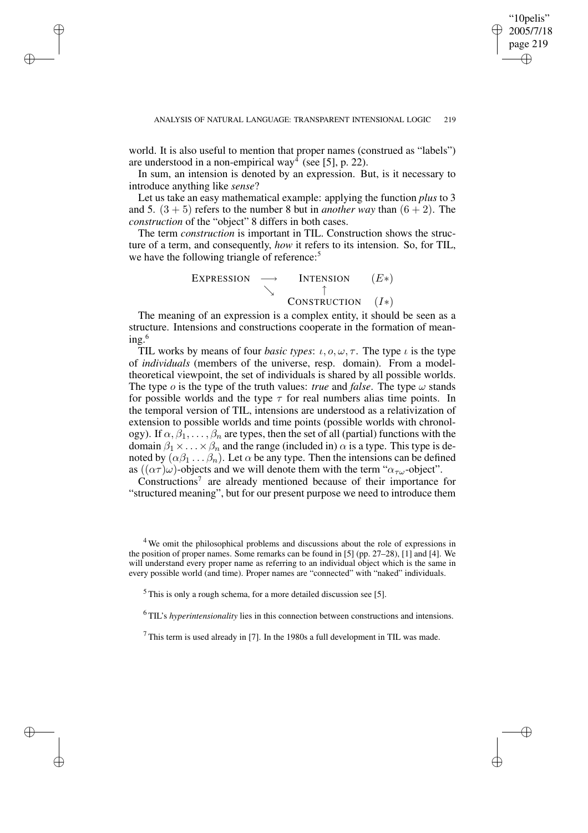✐

world. It is also useful to mention that proper names (construed as "labels") are understood in a non-empirical way<sup>4</sup> (see [5], p. 22).

✐

✐

✐

✐

In sum, an intension is denoted by an expression. But, is it necessary to introduce anything like *sense*?

Let us take an easy mathematical example: applying the function *plus* to 3 and 5.  $(3 + 5)$  refers to the number 8 but in *another* way than  $(6 + 2)$ . The *construction* of the "object" 8 differs in both cases.

The term *construction* is important in TIL. Construction shows the structure of a term, and consequently, *how* it refers to its intension. So, for TIL, we have the following triangle of reference:<sup>5</sup>

$$
\begin{array}{ccc}\n\text{Expression} & \longrightarrow & \text{Intransion} & (E*) \\
\searrow & \uparrow & \uparrow \\
\text{Constribution} & (I*)\n\end{array}
$$

The meaning of an expression is a complex entity, it should be seen as a structure. Intensions and constructions cooperate in the formation of mean $ing.<sup>6</sup>$ 

TIL works by means of four *basic types*:  $\iota$ ,  $o$ ,  $\omega$ ,  $\tau$ . The type  $\iota$  is the type of *individuals* (members of the universe, resp. domain). From a modeltheoretical viewpoint, the set of individuals is shared by all possible worlds. The type  $\sigma$  is the type of the truth values: *true* and *false*. The type  $\omega$  stands for possible worlds and the type  $\tau$  for real numbers alias time points. In the temporal version of TIL, intensions are understood as a relativization of extension to possible worlds and time points (possible worlds with chronology). If  $\alpha, \beta_1, \ldots, \beta_n$  are types, then the set of all (partial) functions with the domain  $\beta_1 \times \ldots \times \beta_n$  and the range (included in)  $\alpha$  is a type. This type is denoted by  $(\alpha \beta_1 \dots \beta_n)$ . Let  $\alpha$  be any type. Then the intensions can be defined as  $((\alpha \tau)\omega)$ -objects and we will denote them with the term " $\alpha_{\tau\omega}$ -object".

Constructions<sup>7</sup> are already mentioned because of their importance for "structured meaning", but for our present purpose we need to introduce them

 $<sup>5</sup>$  This is only a rough schema, for a more detailed discussion see [5].</sup>

<sup>6</sup> TIL's *hyperintensionality* lies in this connection between constructions and intensions.

 $<sup>7</sup>$  This term is used already in [7]. In the 1980s a full development in TIL was made.</sup>

<sup>4</sup> We omit the philosophical problems and discussions about the role of expressions in the position of proper names. Some remarks can be found in [5] (pp. 27–28), [1] and [4]. We will understand every proper name as referring to an individual object which is the same in every possible world (and time). Proper names are "connected" with "naked" individuals.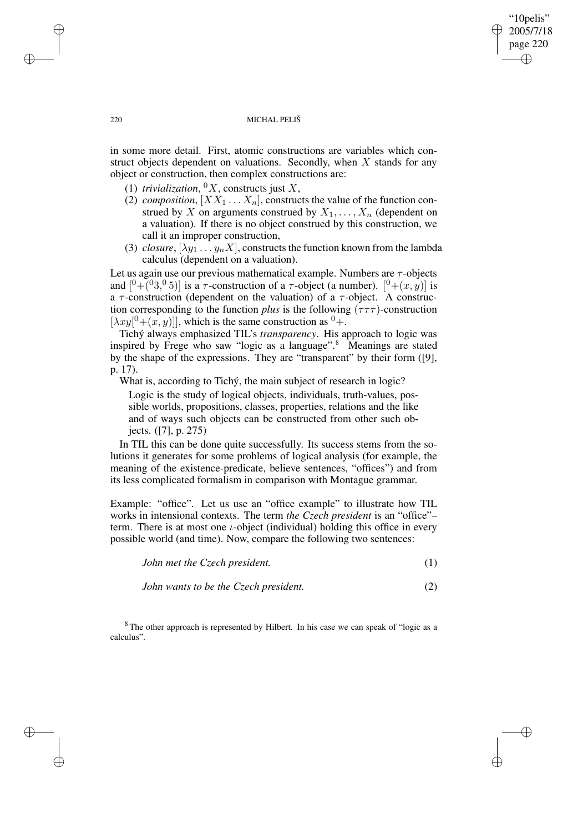### 220 MICHAL PELIŠ

"10pelis" 2005/7/18 page 220

✐

✐

✐

✐

in some more detail. First, atomic constructions are variables which construct objects dependent on valuations. Secondly, when  $X$  stands for any object or construction, then complex constructions are:

- (1) *trivialization*,  ${}^0X$ , constructs just X,
- (2) *composition*,  $[X X_1 ... X_n]$ , constructs the value of the function construed by X on arguments construed by  $X_1, \ldots, X_n$  (dependent on a valuation). If there is no object construed by this construction, we call it an improper construction,
- (3) *closure*,  $[\lambda y_1 \dots y_n X]$ , constructs the function known from the lambda calculus (dependent on a valuation).

Let us again use our previous mathematical example. Numbers are  $\tau$ -objects and  $[0+(0.3,0.5)]$  is a  $\tau$ -construction of a  $\tau$ -object (a number).  $[0+(x, y)]$  is a  $\tau$ -construction (dependent on the valuation) of a  $\tau$ -object. A construction corresponding to the function *plus* is the following  $(\tau \tau \tau)$ -construction  $[\lambda xy[<sup>0</sup> + (x, y)]]$ , which is the same construction as  $<sup>0</sup> +$ .</sup>

Tichý always emphasized TIL's *transparency*. His approach to logic was inspired by Frege who saw "logic as a language".<sup>8</sup> Meanings are stated by the shape of the expressions. They are "transparent" by their form ([9], p. 17).

What is, according to Tichý, the main subject of research in logic? Logic is the study of logical objects, individuals, truth-values, possible worlds, propositions, classes, properties, relations and the like and of ways such objects can be constructed from other such objects. ([7], p. 275)

In TIL this can be done quite successfully. Its success stems from the solutions it generates for some problems of logical analysis (for example, the meaning of the existence-predicate, believe sentences, "offices") and from its less complicated formalism in comparison with Montague grammar.

Example: "office". Let us use an "office example" to illustrate how TIL works in intensional contexts. The term *the Czech president* is an "office"– term. There is at most one  $\iota$ -object (individual) holding this office in every possible world (and time). Now, compare the following two sentences:

|  | John met the Czech president. |  |  |
|--|-------------------------------|--|--|
|--|-------------------------------|--|--|

*John wants to be the Czech president.* (2)

<sup>8</sup> The other approach is represented by Hilbert. In his case we can speak of "logic as a calculus".

✐

✐

✐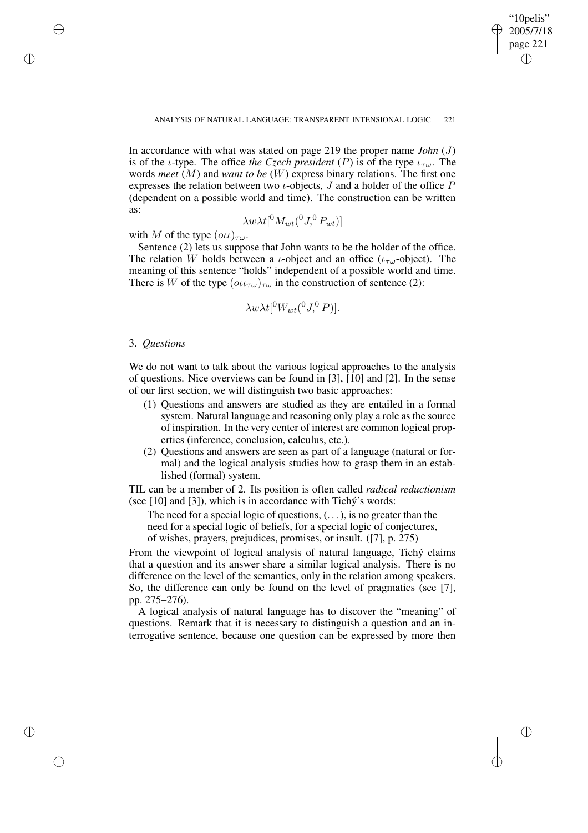✐

In accordance with what was stated on page 219 the proper name *John* (J) is of the *ι*-type. The office *the Czech president* (P) is of the type  $\iota_{\tau\omega}$ . The words *meet* (M) and *want to be* (W) express binary relations. The first one expresses the relation between two *ι*-objects,  $J$  and a holder of the office  $P$ (dependent on a possible world and time). The construction can be written as:

$$
\lambda w \lambda t [{}^0 M_{wt} ({}^0 J,{}^0 P_{wt})]
$$

with M of the type  $(\omega \iota)_{\tau \omega}$ .

Sentence (2) lets us suppose that John wants to be the holder of the office. The relation W holds between a *ι*-object and an office ( $\iota_{\tau\omega}$ -object). The meaning of this sentence "holds" independent of a possible world and time. There is W of the type  $(\omega \iota_{\tau \omega})_{\tau \omega}$  in the construction of sentence (2):

$$
\lambda w \lambda t [^{0} W_{wt} (^{0} J, ^{0} P)].
$$

## 3. *Questions*

✐

✐

✐

✐

We do not want to talk about the various logical approaches to the analysis of questions. Nice overviews can be found in [3], [10] and [2]. In the sense of our first section, we will distinguish two basic approaches:

- (1) Questions and answers are studied as they are entailed in a formal system. Natural language and reasoning only play a role as the source of inspiration. In the very center of interest are common logical properties (inference, conclusion, calculus, etc.).
- (2) Questions and answers are seen as part of a language (natural or formal) and the logical analysis studies how to grasp them in an established (formal) system.

TIL can be a member of 2. Its position is often called *radical reductionism* (see [10] and [3]), which is in accordance with Tichý's words:

The need for a special logic of questions,  $(\ldots)$ , is no greater than the need for a special logic of beliefs, for a special logic of conjectures, of wishes, prayers, prejudices, promises, or insult. ([7], p. 275)

From the viewpoint of logical analysis of natural language, Tichý claims that a question and its answer share a similar logical analysis. There is no difference on the level of the semantics, only in the relation among speakers. So, the difference can only be found on the level of pragmatics (see [7], pp. 275–276).

A logical analysis of natural language has to discover the "meaning" of questions. Remark that it is necessary to distinguish a question and an interrogative sentence, because one question can be expressed by more then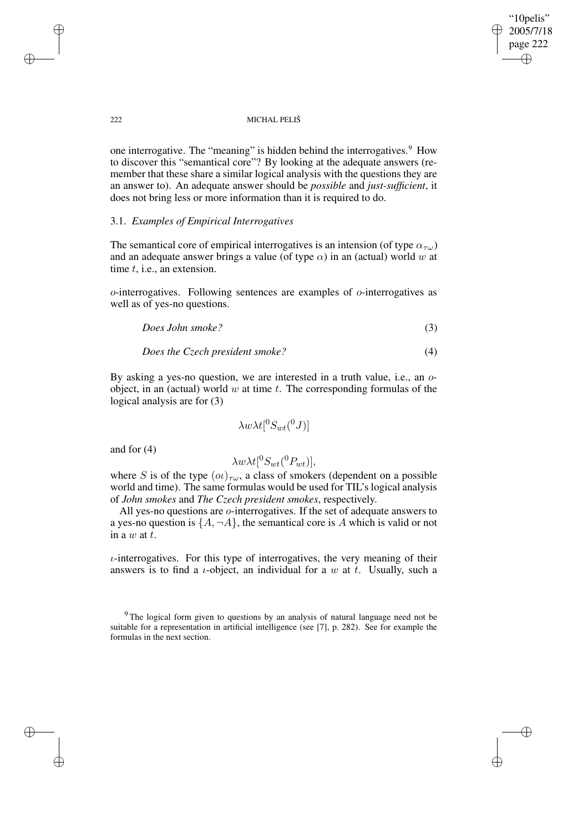"10pelis" 2005/7/18 page 222 ✐ ✐

✐

✐

### 222 MICHAL PELIŠ

one interrogative. The "meaning" is hidden behind the interrogatives.<sup>9</sup> How to discover this "semantical core"? By looking at the adequate answers (remember that these share a similar logical analysis with the questions they are an answer to). An adequate answer should be *possible* and *just-sufficient*, it does not bring less or more information than it is required to do.

## 3.1. *Examples of Empirical Interrogatives*

The semantical core of empirical interrogatives is an intension (of type  $\alpha_{\tau\omega}$ ) and an adequate answer brings a value (of type  $\alpha$ ) in an (actual) world w at time t, i.e., an extension.

o-interrogatives. Following sentences are examples of o-interrogatives as well as of yes-no questions.

*Does John smoke?* (3)

*Does the Czech president smoke?* (4)

By asking a yes-no question, we are interested in a truth value, i.e., an oobject, in an (actual) world  $w$  at time  $t$ . The corresponding formulas of the logical analysis are for (3)

$$
\lambda w \lambda t [{}^0S_{wt}({}^0J)]
$$

and for (4)

$$
\lambda w \lambda t[^0S_{wt}(^0P_{wt})],
$$

where S is of the type  $(\omega)_{\tau\omega}$ , a class of smokers (dependent on a possible world and time). The same formulas would be used for TIL's logical analysis of *John smokes* and *The Czech president smokes*, respectively.

All yes-no questions are o-interrogatives. If the set of adequate answers to a yes-no question is  $\{A, \neg A\}$ , the semantical core is A which is valid or not in a  $w$  at  $t$ .

 $\iota$ -interrogatives. For this type of interrogatives, the very meaning of their answers is to find a *ι*-object, an individual for a w at t. Usually, such a

✐

✐

✐

<sup>&</sup>lt;sup>9</sup> The logical form given to questions by an analysis of natural language need not be suitable for a representation in artificial intelligence (see [7], p. 282). See for example the formulas in the next section.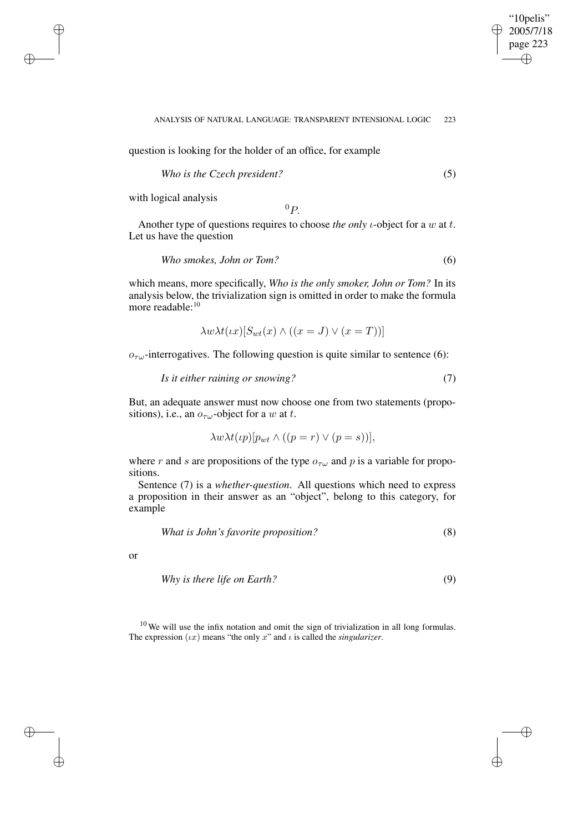$\bigoplus$ 

✐

#### ANALYSIS OF NATURAL LANGUAGE: TRANSPARENT INTENSIONAL LOGIC 223

question is looking for the holder of an office, for example

$$
Who is the Czech president?\tag{5}
$$

with logical analysis

✐

✐

✐

✐

 ${}^0P.$ 

Another type of questions requires to choose *the only i*-object for a w at *t*. Let us have the question

$$
Who\ smokers, John\ or\ Tom?
$$
\n
$$
(6)
$$

which means, more specifically, *Who is the only smoker, John or Tom?* In its analysis below, the trivialization sign is omitted in order to make the formula more readable:<sup>10</sup>

$$
\lambda w \lambda t(\iota x) [S_{wt}(x) \wedge ((x = J) \vee (x = T))]
$$

 $o_{\tau\omega}$ -interrogatives. The following question is quite similar to sentence (6):

$$
Is it either raining or snowing? \tag{7}
$$

But, an adequate answer must now choose one from two statements (propositions), i.e., an  $o_{\tau\omega}$ -object for a w at t.

$$
\lambda w \lambda t(\iota p)[p_{wt} \wedge ((p = r) \vee (p = s))],
$$

where r and s are propositions of the type  $o_{\tau\omega}$  and p is a variable for propositions.

Sentence (7) is a *whether-question*. All questions which need to express a proposition in their answer as an "object", belong to this category, for example

What is John's favorite proposition? 
$$
(8)
$$

or

$$
Why is there life on Earth?\tag{9}
$$

 $10$  We will use the infix notation and omit the sign of trivialization in all long formulas. The expression  $(\iota x)$  means "the only x" and  $\iota$  is called the *singularizer*.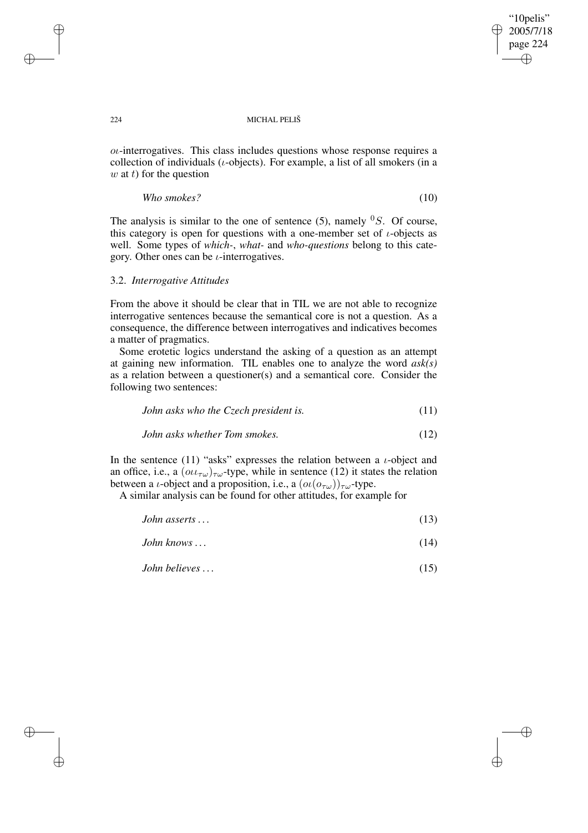✐

### 224 MICHAL PELIŠ

 $o\iota$ -interrogatives. This class includes questions whose response requires a collection of individuals ( $\iota$ -objects). For example, a list of all smokers (in a  $w$  at t) for the question

*Who smokes?* (10)

The analysis is similar to the one of sentence (5), namely  ${}^0S$ . Of course, this category is open for questions with a one-member set of  $\iota$ -objects as well. Some types of *which-*, *what-* and *who-questions* belong to this category. Other ones can be  $\iota$ -interrogatives.

## 3.2. *Interrogative Attitudes*

From the above it should be clear that in TIL we are not able to recognize interrogative sentences because the semantical core is not a question. As a consequence, the difference between interrogatives and indicatives becomes a matter of pragmatics.

Some erotetic logics understand the asking of a question as an attempt at gaining new information. TIL enables one to analyze the word *ask(s)* as a relation between a questioner(s) and a semantical core. Consider the following two sentences:

| John asks who the Czech president is. | (11) |  |
|---------------------------------------|------|--|
|---------------------------------------|------|--|

*John asks whether Tom smokes.* (12)

In the sentence (11) "asks" expresses the relation between a  $\iota$ -object and an office, i.e., a  $(\omega \iota_{\tau \omega})_{\tau \omega}$ -type, while in sentence (12) it states the relation between a *ι*-object and a proposition, i.e., a  $(o_l(o_{\tau\omega}))_{\tau\omega}$ -type.

A similar analysis can be found for other attitudes, for example for

| John asserts $\ldots$ | (13) |  |
|-----------------------|------|--|
|-----------------------|------|--|

*John knows . . .* (14)

*John believes . . .* (15)

✐

✐

✐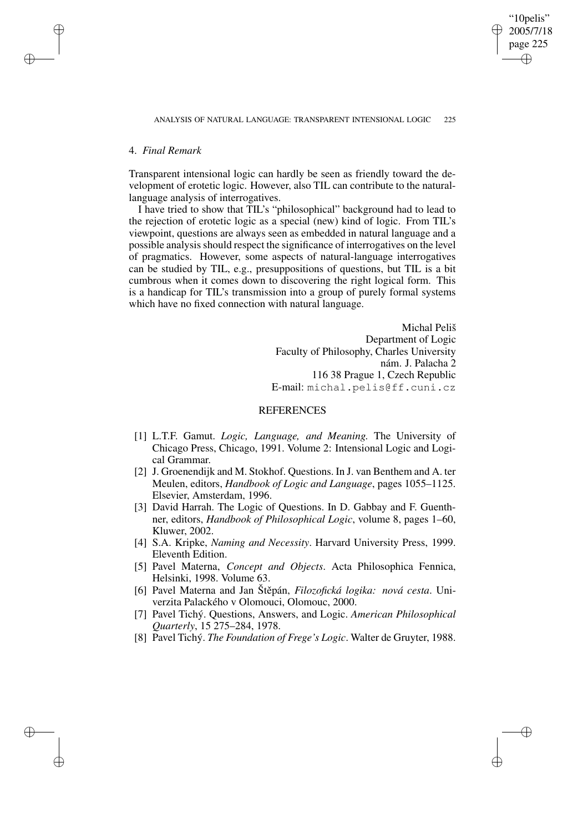# 4. *Final Remark*

✐

✐

✐

✐

Transparent intensional logic can hardly be seen as friendly toward the development of erotetic logic. However, also TIL can contribute to the naturallanguage analysis of interrogatives.

I have tried to show that TIL's "philosophical" background had to lead to the rejection of erotetic logic as a special (new) kind of logic. From TIL's viewpoint, questions are always seen as embedded in natural language and a possible analysis should respect the significance of interrogatives on the level of pragmatics. However, some aspects of natural-language interrogatives can be studied by TIL, e.g., presuppositions of questions, but TIL is a bit cumbrous when it comes down to discovering the right logical form. This is a handicap for TIL's transmission into a group of purely formal systems which have no fixed connection with natural language.

> Michal Peliš Department of Logic Faculty of Philosophy, Charles University nám. J. Palacha 2 116 38 Prague 1, Czech Republic E-mail: michal.pelis@ff.cuni.cz

"10pelis" 2005/7/18 page 225

✐

✐

✐

✐

# **REFERENCES**

- [1] L.T.F. Gamut. *Logic, Language, and Meaning.* The University of Chicago Press, Chicago, 1991. Volume 2: Intensional Logic and Logical Grammar.
- [2] J. Groenendijk and M. Stokhof. Questions. In J. van Benthem and A. ter Meulen, editors, *Handbook of Logic and Language*, pages 1055–1125. Elsevier, Amsterdam, 1996.
- [3] David Harrah. The Logic of Questions. In D. Gabbay and F. Guenthner, editors, *Handbook of Philosophical Logic*, volume 8, pages 1–60, Kluwer, 2002.
- [4] S.A. Kripke, *Naming and Necessity*. Harvard University Press, 1999. Eleventh Edition.
- [5] Pavel Materna, *Concept and Objects*. Acta Philosophica Fennica, Helsinki, 1998. Volume 63.
- [6] Pavel Materna and Jan Štěpán, *Filozofická logika: nová cesta*. Univerzita Palackého v Olomouci, Olomouc, 2000.
- [7] Pavel Tichý. Questions, Answers, and Logic. *American Philosophical Quarterly*, 15 275–284, 1978.
- [8] Pavel Tichý. *The Foundation of Frege's Logic*. Walter de Gruyter, 1988.